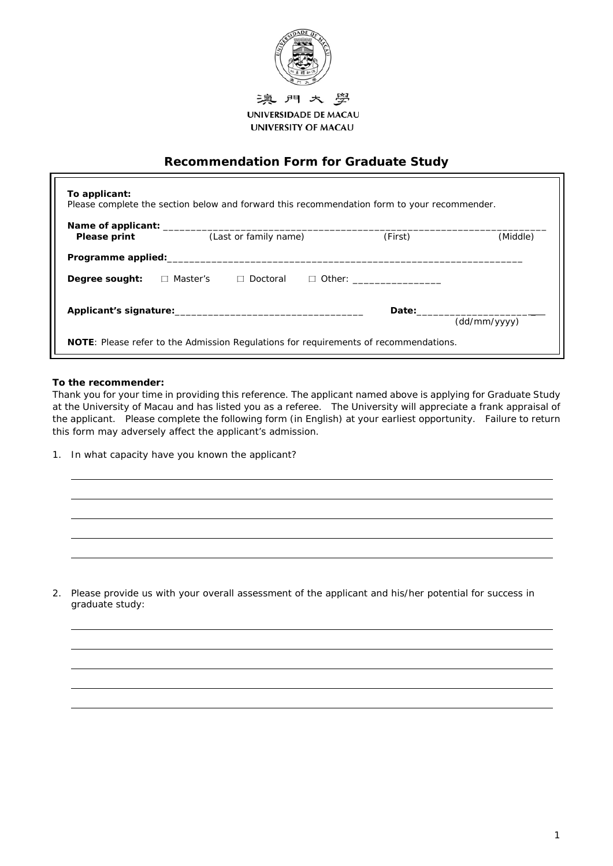

UNIVERSIDADE DE MACAU **UNIVERSITY OF MACAU** 

## **Recommendation Form for Graduate Study**

| Please print       | (Last or family name)         | (First)                                                                                                                                                                                                                        | (Middle)     |
|--------------------|-------------------------------|--------------------------------------------------------------------------------------------------------------------------------------------------------------------------------------------------------------------------------|--------------|
| Programme applied: |                               |                                                                                                                                                                                                                                |              |
| Degree sought:     | □ Master's<br>$\Box$ Doctoral | $\Box$ Other:                                                                                                                                                                                                                  |              |
|                    |                               | Date: the contract of the contract of the contract of the contract of the contract of the contract of the contract of the contract of the contract of the contract of the contract of the contract of the contract of the cont | (dd/mm/yyyy) |

## **To the recommender:**

*Thank you for your time in providing this reference. The applicant named above is applying for Graduate Study at the University of Macau and has listed you as a referee. The University will appreciate a frank appraisal of the applicant. Please complete the following form (in English) at your earliest opportunity. Failure to return this form may adversely affect the applicant's admission.* 

1. In what capacity have you known the applicant?

2. Please provide us with your overall assessment of the applicant and his/her potential for success in graduate study: